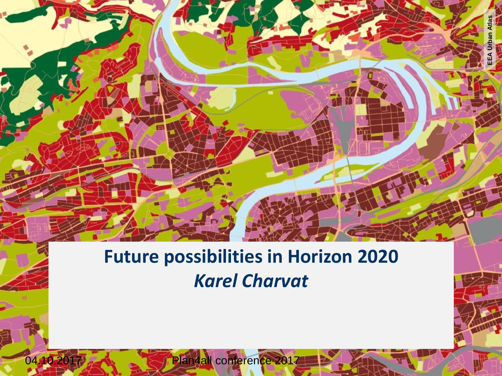#### **Future possibilities in Horizon 2020** *Karel Charvat*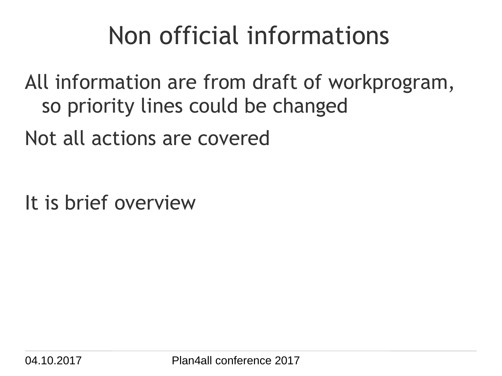# Non official informations

All information are from draft of workprogram, so priority lines could be changed

Not all actions are covered

It is brief overview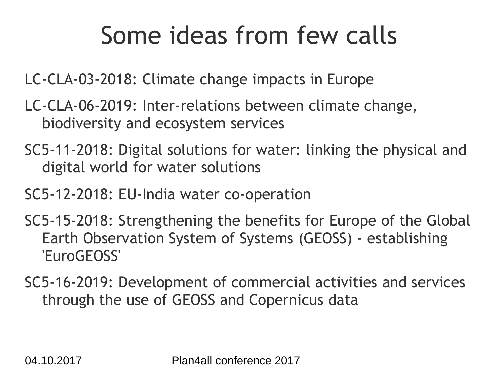LC-CLA-03-2018: Climate change impacts in Europe

- LC-CLA-06-2019: Inter-relations between climate change, biodiversity and ecosystem services
- SC5-11-2018: Digital solutions for water: linking the physical and digital world for water solutions
- SC5-12-2018: EU-India water co-operation
- SC5-15-2018: Strengthening the benefits for Europe of the Global Earth Observation System of Systems (GEOSS) - establishing 'EuroGEOSS'
- SC5-16-2019: Development of commercial activities and services through the use of GEOSS and Copernicus data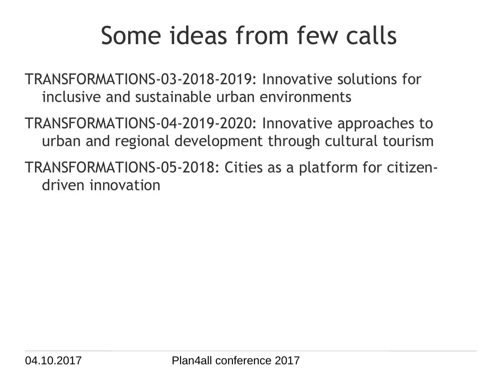TRANSFORMATIONS-03-2018-2019: Innovative solutions for inclusive and sustainable urban environments

TRANSFORMATIONS-04-2019-2020: Innovative approaches to urban and regional development through cultural tourism

TRANSFORMATIONS-05-2018: Cities as a platform for citizendriven innovation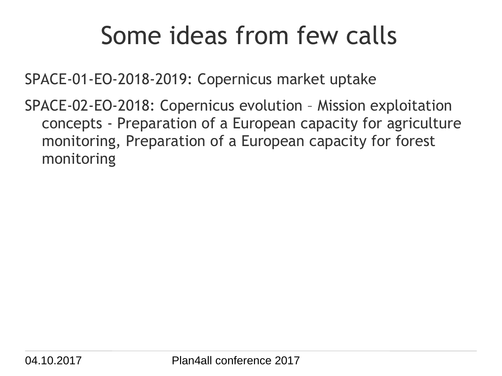SPACE-01-EO-2018-2019: Copernicus market uptake

SPACE-02-EO-2018: Copernicus evolution – Mission exploitation concepts - Preparation of a European capacity for agriculture monitoring, Preparation of a European capacity for forest monitoring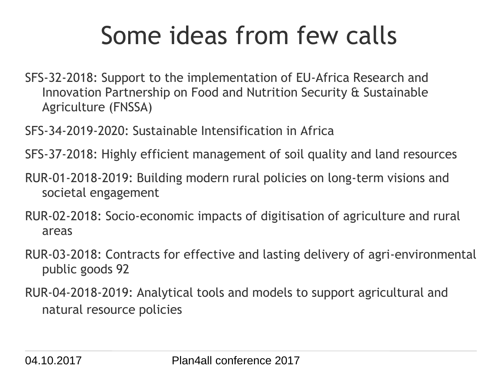- SFS-32-2018: Support to the implementation of EU-Africa Research and Innovation Partnership on Food and Nutrition Security & Sustainable Agriculture (FNSSA)
- SFS-34-2019-2020: Sustainable Intensification in Africa
- SFS-37-2018: Highly efficient management of soil quality and land resources
- RUR-01-2018-2019: Building modern rural policies on long-term visions and societal engagement
- RUR-02-2018: Socio-economic impacts of digitisation of agriculture and rural areas
- RUR-03-2018: Contracts for effective and lasting delivery of agri-environmental public goods 92
- RUR-04-2018-2019: Analytical tools and models to support agricultural and natural resource policies